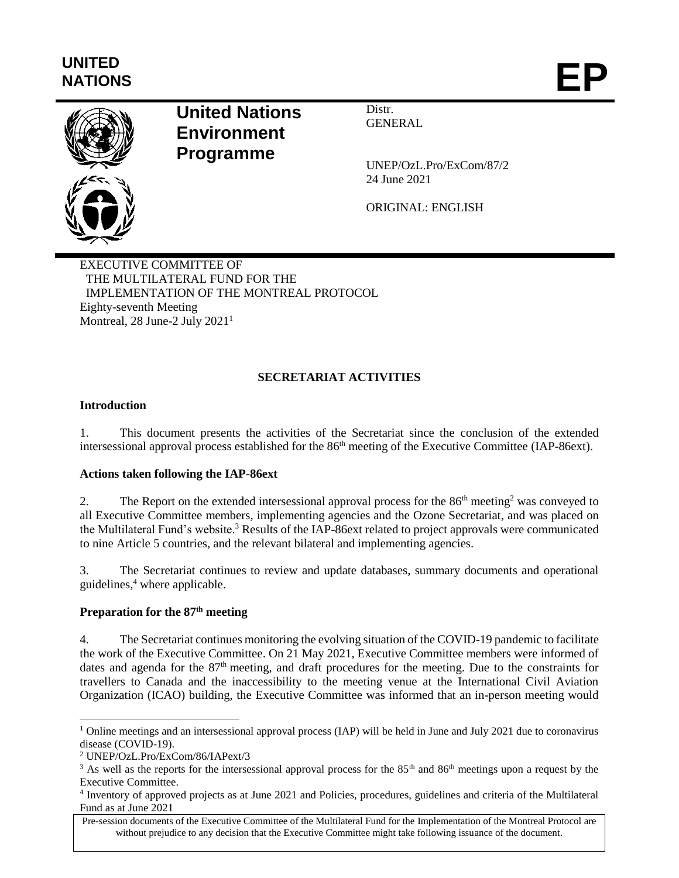# **UNITED** NATIONS **EP**



## **United Nations Environment Programme**

**Distr GENERAL** 

UNEP/OzL.Pro/ExCom/87/2 24 June 2021

ORIGINAL: ENGLISH

EXECUTIVE COMMITTEE OF THE MULTILATERAL FUND FOR THE IMPLEMENTATION OF THE MONTREAL PROTOCOL Eighty-seventh Meeting Montreal, 28 June-2 July 2021<sup>1</sup>

## **SECRETARIAT ACTIVITIES**

## **Introduction**

1. This document presents the activities of the Secretariat since the conclusion of the extended intersessional approval process established for the 86<sup>th</sup> meeting of the Executive Committee (IAP-86ext).

#### **Actions taken following the IAP-86ext**

2. The Report on the extended intersessional approval process for the  $86<sup>th</sup>$  meeting<sup>2</sup> was conveyed to all Executive Committee members, implementing agencies and the Ozone Secretariat, and was placed on the Multilateral Fund's website.<sup>3</sup> Results of the IAP-86ext related to project approvals were communicated to nine Article 5 countries, and the relevant bilateral and implementing agencies.

3. The Secretariat continues to review and update databases, summary documents and operational guidelines, <sup>4</sup> where applicable.

## **Preparation for the 87th meeting**

4. The Secretariat continues monitoring the evolving situation of the COVID-19 pandemic to facilitate the work of the Executive Committee. On 21 May 2021, Executive Committee members were informed of dates and agenda for the 87<sup>th</sup> meeting, and draft procedures for the meeting. Due to the constraints for travellers to Canada and the inaccessibility to the meeting venue at the International Civil Aviation Organization (ICAO) building, the Executive Committee was informed that an in-person meeting would

 $\overline{a}$ 

<sup>&</sup>lt;sup>1</sup> Online meetings and an intersessional approval process (IAP) will be held in June and July 2021 due to coronavirus disease (COVID-19).

<sup>2</sup> UNEP/OzL.Pro/ExCom/86/IAPext/3

<sup>&</sup>lt;sup>3</sup> As well as the reports for the intersessional approval process for the  $85<sup>th</sup>$  and  $86<sup>th</sup>$  meetings upon a request by the Executive Committee.

<sup>4</sup> Inventory of approved projects as at June 2021 and Policies, procedures, guidelines and criteria of the Multilateral Fund as at June 2021

Pre-session documents of the Executive Committee of the Multilateral Fund for the Implementation of the Montreal Protocol are without prejudice to any decision that the Executive Committee might take following issuance of the document.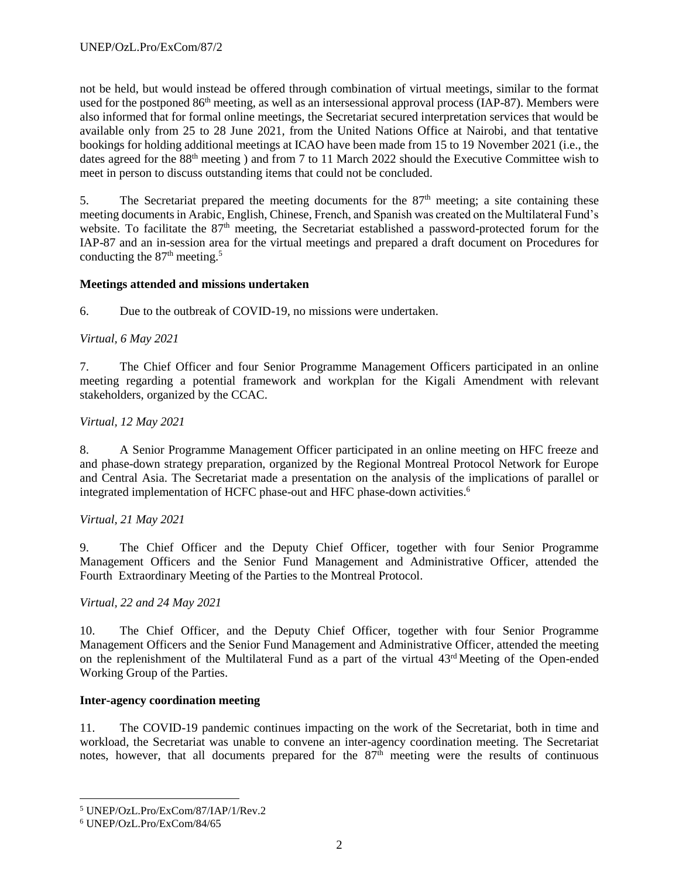not be held, but would instead be offered through combination of virtual meetings, similar to the format used for the postponed 86<sup>th</sup> meeting, as well as an intersessional approval process (IAP-87). Members were also informed that for formal online meetings, the Secretariat secured interpretation services that would be available only from 25 to 28 June 2021, from the United Nations Office at Nairobi, and that tentative bookings for holding additional meetings at ICAO have been made from 15 to 19 November 2021 (i.e., the dates agreed for the 88<sup>th</sup> meeting ) and from 7 to 11 March 2022 should the Executive Committee wish to meet in person to discuss outstanding items that could not be concluded.

5. The Secretariat prepared the meeting documents for the  $87<sup>th</sup>$  meeting; a site containing these meeting documents in Arabic, English, Chinese, French, and Spanish was created on the Multilateral Fund's website. To facilitate the 87<sup>th</sup> meeting, the Secretariat established a password-protected forum for the IAP-87 and an in-session area for the virtual meetings and prepared a draft document on Procedures for conducting the  $87<sup>th</sup>$  meeting.<sup>5</sup>

## **Meetings attended and missions undertaken**

6. Due to the outbreak of COVID-19, no missions were undertaken.

## *Virtual, 6 May 2021*

7. The Chief Officer and four Senior Programme Management Officers participated in an online meeting regarding a potential framework and workplan for the Kigali Amendment with relevant stakeholders, organized by the CCAC.

## *Virtual, 12 May 2021*

8. A Senior Programme Management Officer participated in an online meeting on HFC freeze and and phase-down strategy preparation, organized by the Regional Montreal Protocol Network for Europe and Central Asia. The Secretariat made a presentation on the analysis of the implications of parallel or integrated implementation of HCFC phase-out and HFC phase-down activities. 6

## *Virtual, 21 May 2021*

9. The Chief Officer and the Deputy Chief Officer, together with four Senior Programme Management Officers and the Senior Fund Management and Administrative Officer, attended the Fourth Extraordinary Meeting of the Parties to the Montreal Protocol.

## *Virtual, 22 and 24 May 2021*

10. The Chief Officer, and the Deputy Chief Officer, together with four Senior Programme Management Officers and the Senior Fund Management and Administrative Officer, attended the meeting on the replenishment of the Multilateral Fund as a part of the virtual 43<sup>rd</sup> Meeting of the Open-ended Working Group of the Parties.

## **Inter-agency coordination meeting**

11. The COVID-19 pandemic continues impacting on the work of the Secretariat, both in time and workload, the Secretariat was unable to convene an inter-agency coordination meeting. The Secretariat notes, however, that all documents prepared for the  $87<sup>th</sup>$  meeting were the results of continuous

l

<sup>5</sup> UNEP/OzL.Pro/ExCom/87/IAP/1/Rev.2

<sup>6</sup> UNEP/OzL.Pro/ExCom/84/65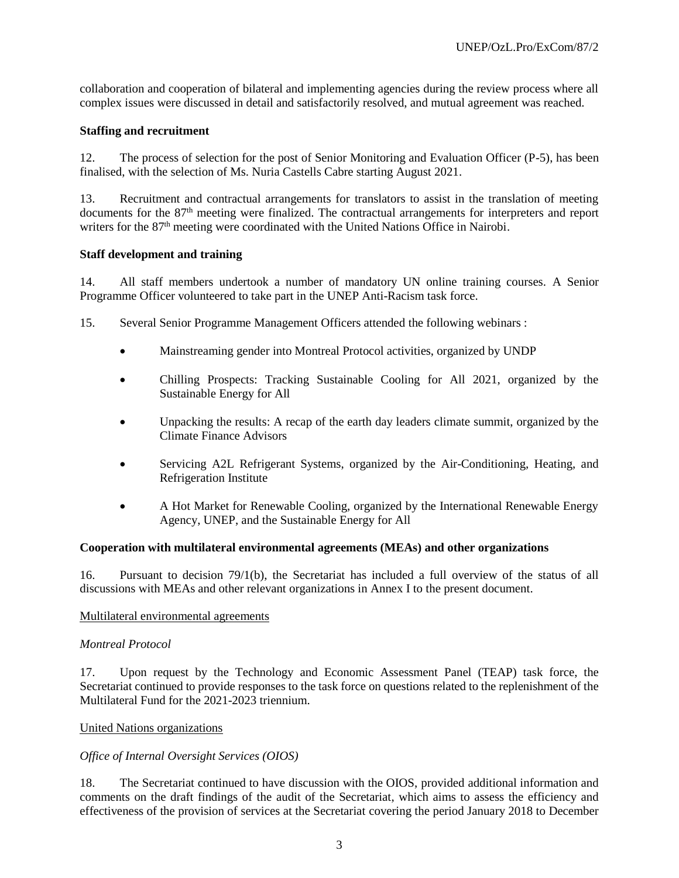collaboration and cooperation of bilateral and implementing agencies during the review process where all complex issues were discussed in detail and satisfactorily resolved, and mutual agreement was reached.

#### **Staffing and recruitment**

12. The process of selection for the post of Senior Monitoring and Evaluation Officer (P-5), has been finalised, with the selection of Ms. Nuria Castells Cabre starting August 2021.

13. Recruitment and contractual arrangements for translators to assist in the translation of meeting documents for the 87<sup>th</sup> meeting were finalized. The contractual arrangements for interpreters and report writers for the 87<sup>th</sup> meeting were coordinated with the United Nations Office in Nairobi.

#### **Staff development and training**

14. All staff members undertook a number of mandatory UN online training courses. A Senior Programme Officer volunteered to take part in the UNEP Anti-Racism task force.

- 15. Several Senior Programme Management Officers attended the following webinars :
	- Mainstreaming gender into Montreal Protocol activities, organized by UNDP
	- Chilling Prospects: Tracking Sustainable Cooling for All 2021, organized by the Sustainable Energy for All
	- Unpacking the results: A recap of the earth day leaders climate summit, organized by the Climate Finance Advisors
	- Servicing A2L Refrigerant Systems, organized by the Air-Conditioning, Heating, and Refrigeration Institute
	- A Hot Market for Renewable Cooling, organized by the International Renewable Energy Agency, UNEP, and the Sustainable Energy for All

#### **Cooperation with multilateral environmental agreements (MEAs) and other organizations**

16. Pursuant to decision 79/1(b), the Secretariat has included a full overview of the status of all discussions with MEAs and other relevant organizations in Annex I to the present document.

#### Multilateral environmental agreements

#### *Montreal Protocol*

17. Upon request by the Technology and Economic Assessment Panel (TEAP) task force, the Secretariat continued to provide responses to the task force on questions related to the replenishment of the Multilateral Fund for the 2021-2023 triennium.

#### United Nations organizations

#### *Office of Internal Oversight Services (OIOS)*

18. The Secretariat continued to have discussion with the OIOS, provided additional information and comments on the draft findings of the audit of the Secretariat, which aims to assess the efficiency and effectiveness of the provision of services at the Secretariat covering the period January 2018 to December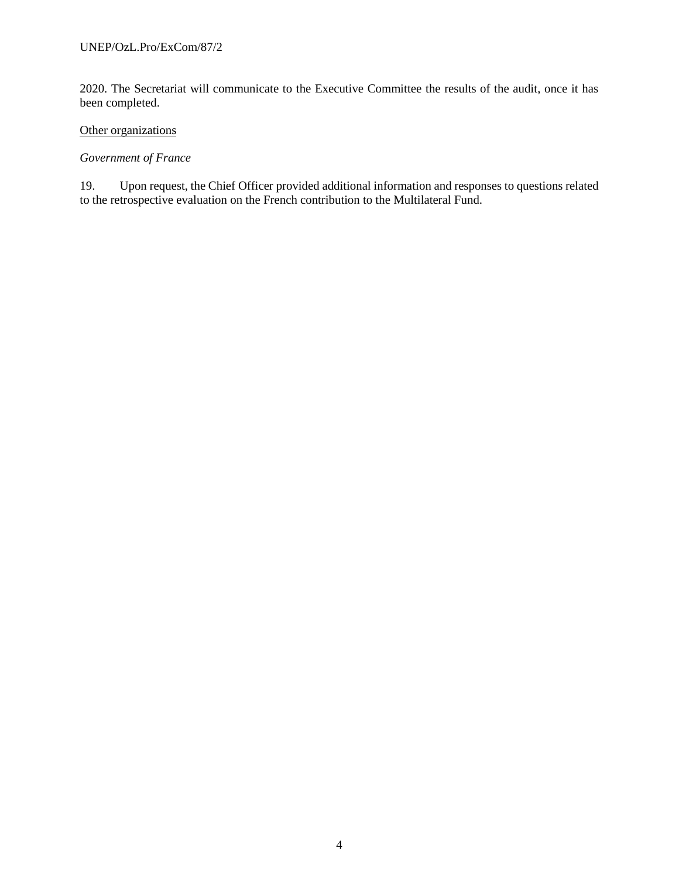2020. The Secretariat will communicate to the Executive Committee the results of the audit, once it has been completed.

## Other organizations

#### *Government of France*

19. Upon request, the Chief Officer provided additional information and responses to questions related to the retrospective evaluation on the French contribution to the Multilateral Fund.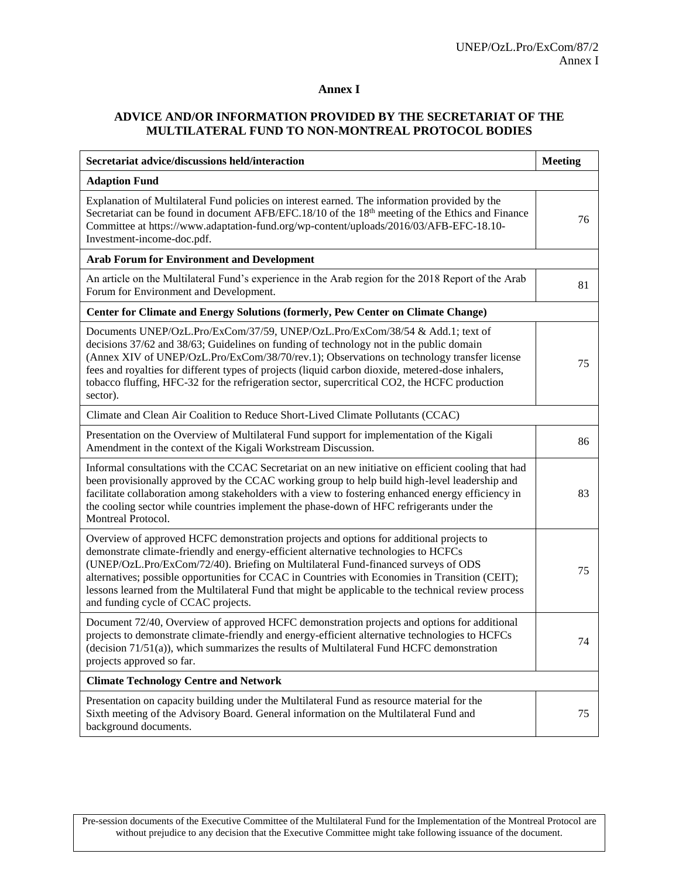#### **Annex I**

## **ADVICE AND/OR INFORMATION PROVIDED BY THE SECRETARIAT OF THE MULTILATERAL FUND TO NON-MONTREAL PROTOCOL BODIES**

| Secretariat advice/discussions held/interaction                                                                                                                                                                                                                                                                                                                                                                                                                                                                      | <b>Meeting</b> |
|----------------------------------------------------------------------------------------------------------------------------------------------------------------------------------------------------------------------------------------------------------------------------------------------------------------------------------------------------------------------------------------------------------------------------------------------------------------------------------------------------------------------|----------------|
| <b>Adaption Fund</b>                                                                                                                                                                                                                                                                                                                                                                                                                                                                                                 |                |
| Explanation of Multilateral Fund policies on interest earned. The information provided by the<br>Secretariat can be found in document AFB/EFC.18/10 of the 18 <sup>th</sup> meeting of the Ethics and Finance<br>Committee at https://www.adaptation-fund.org/wp-content/uploads/2016/03/AFB-EFC-18.10-<br>Investment-income-doc.pdf.                                                                                                                                                                                | 76             |
| <b>Arab Forum for Environment and Development</b>                                                                                                                                                                                                                                                                                                                                                                                                                                                                    |                |
| An article on the Multilateral Fund's experience in the Arab region for the 2018 Report of the Arab<br>Forum for Environment and Development.                                                                                                                                                                                                                                                                                                                                                                        | 81             |
| Center for Climate and Energy Solutions (formerly, Pew Center on Climate Change)                                                                                                                                                                                                                                                                                                                                                                                                                                     |                |
| Documents UNEP/OzL.Pro/ExCom/37/59, UNEP/OzL.Pro/ExCom/38/54 & Add.1; text of<br>decisions 37/62 and 38/63; Guidelines on funding of technology not in the public domain<br>(Annex XIV of UNEP/OzL.Pro/ExCom/38/70/rev.1); Observations on technology transfer license<br>fees and royalties for different types of projects (liquid carbon dioxide, metered-dose inhalers,<br>tobacco fluffing, HFC-32 for the refrigeration sector, supercritical CO2, the HCFC production<br>sector).                             | 75             |
| Climate and Clean Air Coalition to Reduce Short-Lived Climate Pollutants (CCAC)                                                                                                                                                                                                                                                                                                                                                                                                                                      |                |
| Presentation on the Overview of Multilateral Fund support for implementation of the Kigali<br>Amendment in the context of the Kigali Workstream Discussion.                                                                                                                                                                                                                                                                                                                                                          | 86             |
| Informal consultations with the CCAC Secretariat on an new initiative on efficient cooling that had<br>been provisionally approved by the CCAC working group to help build high-level leadership and<br>facilitate collaboration among stakeholders with a view to fostering enhanced energy efficiency in<br>the cooling sector while countries implement the phase-down of HFC refrigerants under the<br>Montreal Protocol.                                                                                        | 83             |
| Overview of approved HCFC demonstration projects and options for additional projects to<br>demonstrate climate-friendly and energy-efficient alternative technologies to HCFCs<br>(UNEP/OzL.Pro/ExCom/72/40). Briefing on Multilateral Fund-financed surveys of ODS<br>alternatives; possible opportunities for CCAC in Countries with Economies in Transition (CEIT);<br>lessons learned from the Multilateral Fund that might be applicable to the technical review process<br>and funding cycle of CCAC projects. | 75             |
| Document 72/40, Overview of approved HCFC demonstration projects and options for additional<br>projects to demonstrate climate-friendly and energy-efficient alternative technologies to HCFCs<br>(decision $71/51(a)$ ), which summarizes the results of Multilateral Fund HCFC demonstration<br>projects approved so far.                                                                                                                                                                                          | 74             |
| <b>Climate Technology Centre and Network</b>                                                                                                                                                                                                                                                                                                                                                                                                                                                                         |                |
| Presentation on capacity building under the Multilateral Fund as resource material for the<br>Sixth meeting of the Advisory Board. General information on the Multilateral Fund and<br>background documents.                                                                                                                                                                                                                                                                                                         | 75             |

Pre-session documents of the Executive Committee of the Multilateral Fund for the Implementation of the Montreal Protocol are without prejudice to any decision that the Executive Committee might take following issuance of the document.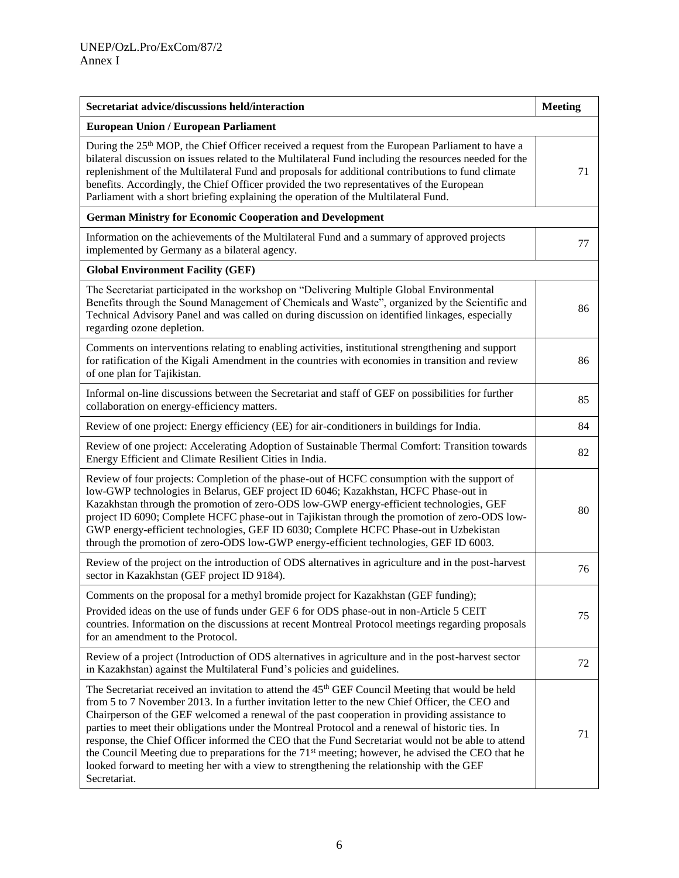| Secretariat advice/discussions held/interaction                                                                                                                                                                                                                                                                                                                                                                                                                                                                                                                                                                                                                                                                                                        | <b>Meeting</b> |
|--------------------------------------------------------------------------------------------------------------------------------------------------------------------------------------------------------------------------------------------------------------------------------------------------------------------------------------------------------------------------------------------------------------------------------------------------------------------------------------------------------------------------------------------------------------------------------------------------------------------------------------------------------------------------------------------------------------------------------------------------------|----------------|
| <b>European Union / European Parliament</b>                                                                                                                                                                                                                                                                                                                                                                                                                                                                                                                                                                                                                                                                                                            |                |
| During the $25th$ MOP, the Chief Officer received a request from the European Parliament to have a<br>bilateral discussion on issues related to the Multilateral Fund including the resources needed for the<br>replenishment of the Multilateral Fund and proposals for additional contributions to fund climate<br>benefits. Accordingly, the Chief Officer provided the two representatives of the European<br>Parliament with a short briefing explaining the operation of the Multilateral Fund.                                                                                                                                                                                                                                                  | 71             |
| <b>German Ministry for Economic Cooperation and Development</b>                                                                                                                                                                                                                                                                                                                                                                                                                                                                                                                                                                                                                                                                                        |                |
| Information on the achievements of the Multilateral Fund and a summary of approved projects<br>implemented by Germany as a bilateral agency.                                                                                                                                                                                                                                                                                                                                                                                                                                                                                                                                                                                                           | 77             |
| <b>Global Environment Facility (GEF)</b>                                                                                                                                                                                                                                                                                                                                                                                                                                                                                                                                                                                                                                                                                                               |                |
| The Secretariat participated in the workshop on "Delivering Multiple Global Environmental<br>Benefits through the Sound Management of Chemicals and Waste", organized by the Scientific and<br>Technical Advisory Panel and was called on during discussion on identified linkages, especially<br>regarding ozone depletion.                                                                                                                                                                                                                                                                                                                                                                                                                           | 86             |
| Comments on interventions relating to enabling activities, institutional strengthening and support<br>for ratification of the Kigali Amendment in the countries with economies in transition and review<br>of one plan for Tajikistan.                                                                                                                                                                                                                                                                                                                                                                                                                                                                                                                 | 86             |
| Informal on-line discussions between the Secretariat and staff of GEF on possibilities for further<br>collaboration on energy-efficiency matters.                                                                                                                                                                                                                                                                                                                                                                                                                                                                                                                                                                                                      | 85             |
| Review of one project: Energy efficiency (EE) for air-conditioners in buildings for India.                                                                                                                                                                                                                                                                                                                                                                                                                                                                                                                                                                                                                                                             | 84             |
| Review of one project: Accelerating Adoption of Sustainable Thermal Comfort: Transition towards<br>Energy Efficient and Climate Resilient Cities in India.                                                                                                                                                                                                                                                                                                                                                                                                                                                                                                                                                                                             | 82             |
| Review of four projects: Completion of the phase-out of HCFC consumption with the support of<br>low-GWP technologies in Belarus, GEF project ID 6046; Kazakhstan, HCFC Phase-out in<br>Kazakhstan through the promotion of zero-ODS low-GWP energy-efficient technologies, GEF<br>project ID 6090; Complete HCFC phase-out in Tajikistan through the promotion of zero-ODS low-<br>GWP energy-efficient technologies, GEF ID 6030; Complete HCFC Phase-out in Uzbekistan<br>through the promotion of zero-ODS low-GWP energy-efficient technologies, GEF ID 6003.                                                                                                                                                                                      | 80             |
| Review of the project on the introduction of ODS alternatives in agriculture and in the post-harvest<br>sector in Kazakhstan (GEF project ID 9184).                                                                                                                                                                                                                                                                                                                                                                                                                                                                                                                                                                                                    | 76             |
| Comments on the proposal for a methyl bromide project for Kazakhstan (GEF funding);<br>Provided ideas on the use of funds under GEF 6 for ODS phase-out in non-Article 5 CEIT<br>countries. Information on the discussions at recent Montreal Protocol meetings regarding proposals<br>for an amendment to the Protocol.                                                                                                                                                                                                                                                                                                                                                                                                                               | 75             |
| Review of a project (Introduction of ODS alternatives in agriculture and in the post-harvest sector<br>in Kazakhstan) against the Multilateral Fund's policies and guidelines.                                                                                                                                                                                                                                                                                                                                                                                                                                                                                                                                                                         | 72             |
| The Secretariat received an invitation to attend the 45 <sup>th</sup> GEF Council Meeting that would be held<br>from 5 to 7 November 2013. In a further invitation letter to the new Chief Officer, the CEO and<br>Chairperson of the GEF welcomed a renewal of the past cooperation in providing assistance to<br>parties to meet their obligations under the Montreal Protocol and a renewal of historic ties. In<br>response, the Chief Officer informed the CEO that the Fund Secretariat would not be able to attend<br>the Council Meeting due to preparations for the 71 <sup>st</sup> meeting; however, he advised the CEO that he<br>looked forward to meeting her with a view to strengthening the relationship with the GEF<br>Secretariat. | 71             |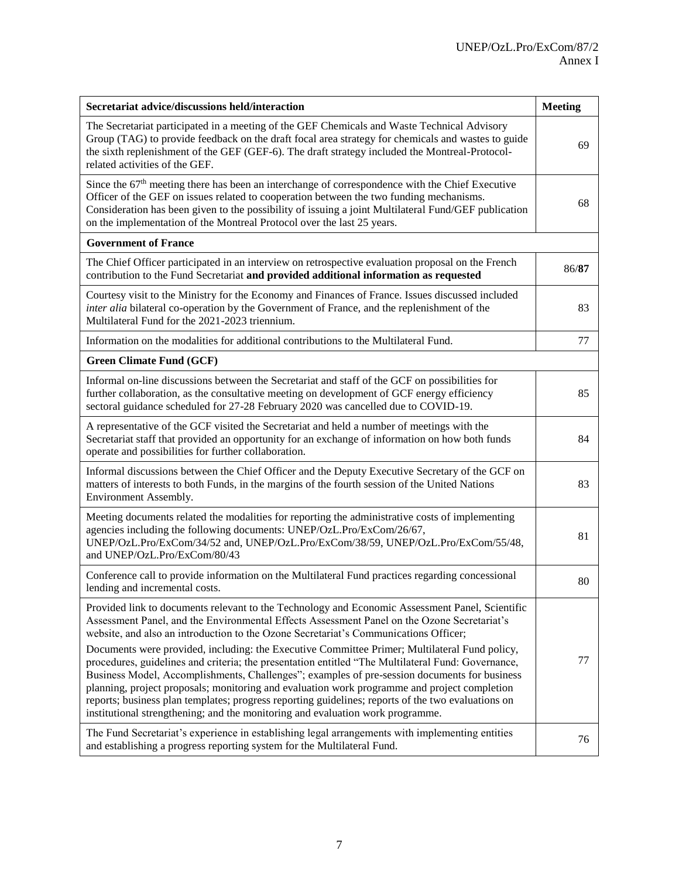| Secretariat advice/discussions held/interaction                                                                                                                                                                                                                                                                                                                                                                                                                                                                                                                                             | <b>Meeting</b> |
|---------------------------------------------------------------------------------------------------------------------------------------------------------------------------------------------------------------------------------------------------------------------------------------------------------------------------------------------------------------------------------------------------------------------------------------------------------------------------------------------------------------------------------------------------------------------------------------------|----------------|
| The Secretariat participated in a meeting of the GEF Chemicals and Waste Technical Advisory<br>Group (TAG) to provide feedback on the draft focal area strategy for chemicals and wastes to guide<br>the sixth replenishment of the GEF (GEF-6). The draft strategy included the Montreal-Protocol-<br>related activities of the GEF.                                                                                                                                                                                                                                                       | 69             |
| Since the $67th$ meeting there has been an interchange of correspondence with the Chief Executive<br>Officer of the GEF on issues related to cooperation between the two funding mechanisms.<br>Consideration has been given to the possibility of issuing a joint Multilateral Fund/GEF publication<br>on the implementation of the Montreal Protocol over the last 25 years.                                                                                                                                                                                                              | 68             |
| <b>Government of France</b>                                                                                                                                                                                                                                                                                                                                                                                                                                                                                                                                                                 |                |
| The Chief Officer participated in an interview on retrospective evaluation proposal on the French<br>contribution to the Fund Secretariat and provided additional information as requested                                                                                                                                                                                                                                                                                                                                                                                                  | 86/87          |
| Courtesy visit to the Ministry for the Economy and Finances of France. Issues discussed included<br>inter alia bilateral co-operation by the Government of France, and the replenishment of the<br>Multilateral Fund for the 2021-2023 triennium.                                                                                                                                                                                                                                                                                                                                           | 83             |
| Information on the modalities for additional contributions to the Multilateral Fund.                                                                                                                                                                                                                                                                                                                                                                                                                                                                                                        | 77             |
| <b>Green Climate Fund (GCF)</b>                                                                                                                                                                                                                                                                                                                                                                                                                                                                                                                                                             |                |
| Informal on-line discussions between the Secretariat and staff of the GCF on possibilities for<br>further collaboration, as the consultative meeting on development of GCF energy efficiency<br>sectoral guidance scheduled for 27-28 February 2020 was cancelled due to COVID-19.                                                                                                                                                                                                                                                                                                          | 85             |
| A representative of the GCF visited the Secretariat and held a number of meetings with the<br>Secretariat staff that provided an opportunity for an exchange of information on how both funds<br>operate and possibilities for further collaboration.                                                                                                                                                                                                                                                                                                                                       | 84             |
| Informal discussions between the Chief Officer and the Deputy Executive Secretary of the GCF on<br>matters of interests to both Funds, in the margins of the fourth session of the United Nations<br>Environment Assembly.                                                                                                                                                                                                                                                                                                                                                                  | 83             |
| Meeting documents related the modalities for reporting the administrative costs of implementing<br>agencies including the following documents: UNEP/OzL.Pro/ExCom/26/67,<br>UNEP/OzL.Pro/ExCom/34/52 and, UNEP/OzL.Pro/ExCom/38/59, UNEP/OzL.Pro/ExCom/55/48,<br>and UNEP/OzL.Pro/ExCom/80/43                                                                                                                                                                                                                                                                                               | 81             |
| Conference call to provide information on the Multilateral Fund practices regarding concessional<br>lending and incremental costs.                                                                                                                                                                                                                                                                                                                                                                                                                                                          | 80             |
| Provided link to documents relevant to the Technology and Economic Assessment Panel, Scientific<br>Assessment Panel, and the Environmental Effects Assessment Panel on the Ozone Secretariat's<br>website, and also an introduction to the Ozone Secretariat's Communications Officer;                                                                                                                                                                                                                                                                                                      |                |
| Documents were provided, including: the Executive Committee Primer; Multilateral Fund policy,<br>procedures, guidelines and criteria; the presentation entitled "The Multilateral Fund: Governance,<br>Business Model, Accomplishments, Challenges"; examples of pre-session documents for business<br>planning, project proposals; monitoring and evaluation work programme and project completion<br>reports; business plan templates; progress reporting guidelines; reports of the two evaluations on<br>institutional strengthening; and the monitoring and evaluation work programme. | 77             |
| The Fund Secretariat's experience in establishing legal arrangements with implementing entities<br>and establishing a progress reporting system for the Multilateral Fund.                                                                                                                                                                                                                                                                                                                                                                                                                  | 76             |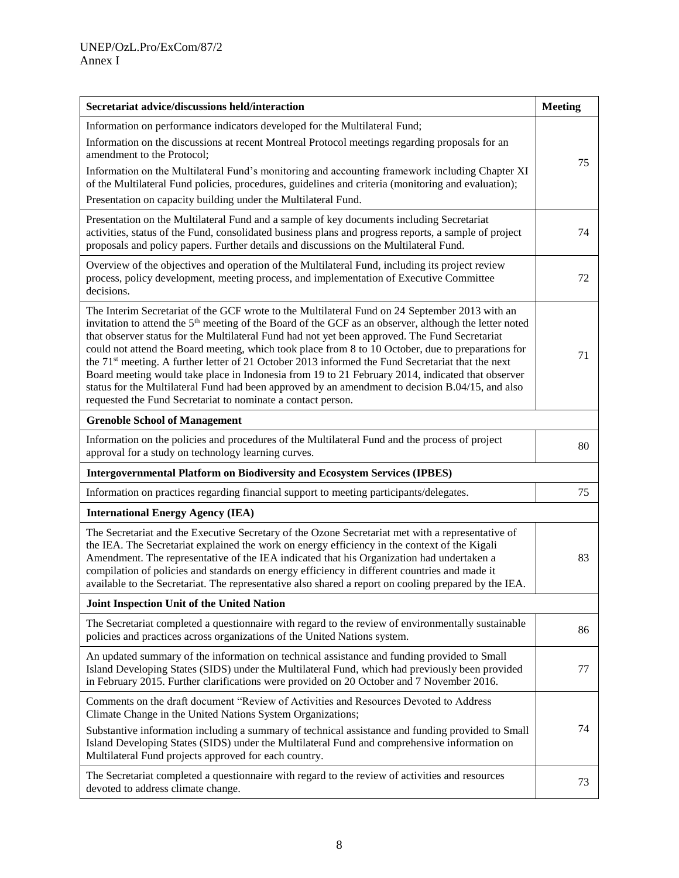| Secretariat advice/discussions held/interaction                                                                                                                                                                                                                                                                                                                                                                                                                                                                                                                                                                                                                                                                                                                                                                       | <b>Meeting</b> |
|-----------------------------------------------------------------------------------------------------------------------------------------------------------------------------------------------------------------------------------------------------------------------------------------------------------------------------------------------------------------------------------------------------------------------------------------------------------------------------------------------------------------------------------------------------------------------------------------------------------------------------------------------------------------------------------------------------------------------------------------------------------------------------------------------------------------------|----------------|
| Information on performance indicators developed for the Multilateral Fund;<br>Information on the discussions at recent Montreal Protocol meetings regarding proposals for an<br>amendment to the Protocol;                                                                                                                                                                                                                                                                                                                                                                                                                                                                                                                                                                                                            |                |
| Information on the Multilateral Fund's monitoring and accounting framework including Chapter XI<br>of the Multilateral Fund policies, procedures, guidelines and criteria (monitoring and evaluation);                                                                                                                                                                                                                                                                                                                                                                                                                                                                                                                                                                                                                | 75             |
| Presentation on capacity building under the Multilateral Fund.                                                                                                                                                                                                                                                                                                                                                                                                                                                                                                                                                                                                                                                                                                                                                        |                |
| Presentation on the Multilateral Fund and a sample of key documents including Secretariat<br>activities, status of the Fund, consolidated business plans and progress reports, a sample of project<br>proposals and policy papers. Further details and discussions on the Multilateral Fund.                                                                                                                                                                                                                                                                                                                                                                                                                                                                                                                          | 74             |
| Overview of the objectives and operation of the Multilateral Fund, including its project review<br>process, policy development, meeting process, and implementation of Executive Committee<br>decisions.                                                                                                                                                                                                                                                                                                                                                                                                                                                                                                                                                                                                              | 72             |
| The Interim Secretariat of the GCF wrote to the Multilateral Fund on 24 September 2013 with an<br>invitation to attend the 5 <sup>th</sup> meeting of the Board of the GCF as an observer, although the letter noted<br>that observer status for the Multilateral Fund had not yet been approved. The Fund Secretariat<br>could not attend the Board meeting, which took place from 8 to 10 October, due to preparations for<br>the 71 <sup>st</sup> meeting. A further letter of 21 October 2013 informed the Fund Secretariat that the next<br>Board meeting would take place in Indonesia from 19 to 21 February 2014, indicated that observer<br>status for the Multilateral Fund had been approved by an amendment to decision B.04/15, and also<br>requested the Fund Secretariat to nominate a contact person. | 71             |
| <b>Grenoble School of Management</b>                                                                                                                                                                                                                                                                                                                                                                                                                                                                                                                                                                                                                                                                                                                                                                                  |                |
| Information on the policies and procedures of the Multilateral Fund and the process of project<br>approval for a study on technology learning curves.                                                                                                                                                                                                                                                                                                                                                                                                                                                                                                                                                                                                                                                                 | 80             |
| <b>Intergovernmental Platform on Biodiversity and Ecosystem Services (IPBES)</b>                                                                                                                                                                                                                                                                                                                                                                                                                                                                                                                                                                                                                                                                                                                                      |                |
| Information on practices regarding financial support to meeting participants/delegates.                                                                                                                                                                                                                                                                                                                                                                                                                                                                                                                                                                                                                                                                                                                               | 75             |
| <b>International Energy Agency (IEA)</b>                                                                                                                                                                                                                                                                                                                                                                                                                                                                                                                                                                                                                                                                                                                                                                              |                |
| The Secretariat and the Executive Secretary of the Ozone Secretariat met with a representative of<br>the IEA. The Secretariat explained the work on energy efficiency in the context of the Kigali<br>Amendment. The representative of the IEA indicated that his Organization had undertaken a<br>compilation of policies and standards on energy efficiency in different countries and made it<br>available to the Secretariat. The representative also shared a report on cooling prepared by the IEA.                                                                                                                                                                                                                                                                                                             | 83             |
| Joint Inspection Unit of the United Nation                                                                                                                                                                                                                                                                                                                                                                                                                                                                                                                                                                                                                                                                                                                                                                            |                |
| The Secretariat completed a questionnaire with regard to the review of environmentally sustainable<br>policies and practices across organizations of the United Nations system.                                                                                                                                                                                                                                                                                                                                                                                                                                                                                                                                                                                                                                       | 86             |
| An updated summary of the information on technical assistance and funding provided to Small<br>Island Developing States (SIDS) under the Multilateral Fund, which had previously been provided<br>in February 2015. Further clarifications were provided on 20 October and 7 November 2016.                                                                                                                                                                                                                                                                                                                                                                                                                                                                                                                           | 77             |
| Comments on the draft document "Review of Activities and Resources Devoted to Address<br>Climate Change in the United Nations System Organizations;<br>Substantive information including a summary of technical assistance and funding provided to Small<br>Island Developing States (SIDS) under the Multilateral Fund and comprehensive information on<br>Multilateral Fund projects approved for each country.                                                                                                                                                                                                                                                                                                                                                                                                     | 74             |
| The Secretariat completed a questionnaire with regard to the review of activities and resources<br>devoted to address climate change.                                                                                                                                                                                                                                                                                                                                                                                                                                                                                                                                                                                                                                                                                 | 73             |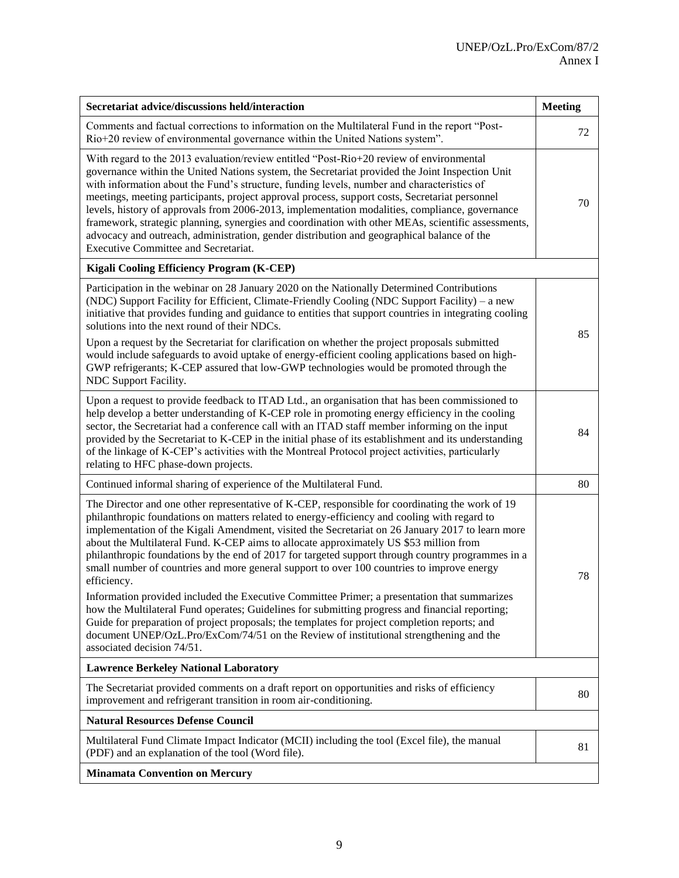| Secretariat advice/discussions held/interaction                                                                                                                                                                                                                                                                                                                                                                                                                                                                                                                                                                                                                                                                                                                                                                                                                                                                                                                                                                                             | <b>Meeting</b> |
|---------------------------------------------------------------------------------------------------------------------------------------------------------------------------------------------------------------------------------------------------------------------------------------------------------------------------------------------------------------------------------------------------------------------------------------------------------------------------------------------------------------------------------------------------------------------------------------------------------------------------------------------------------------------------------------------------------------------------------------------------------------------------------------------------------------------------------------------------------------------------------------------------------------------------------------------------------------------------------------------------------------------------------------------|----------------|
| Comments and factual corrections to information on the Multilateral Fund in the report "Post-<br>Rio+20 review of environmental governance within the United Nations system".                                                                                                                                                                                                                                                                                                                                                                                                                                                                                                                                                                                                                                                                                                                                                                                                                                                               | 72             |
| With regard to the 2013 evaluation/review entitled "Post-Rio+20 review of environmental<br>governance within the United Nations system, the Secretariat provided the Joint Inspection Unit<br>with information about the Fund's structure, funding levels, number and characteristics of<br>meetings, meeting participants, project approval process, support costs, Secretariat personnel<br>levels, history of approvals from 2006-2013, implementation modalities, compliance, governance<br>framework, strategic planning, synergies and coordination with other MEAs, scientific assessments,<br>advocacy and outreach, administration, gender distribution and geographical balance of the<br>Executive Committee and Secretariat.                                                                                                                                                                                                                                                                                                    | 70             |
| Kigali Cooling Efficiency Program (K-CEP)                                                                                                                                                                                                                                                                                                                                                                                                                                                                                                                                                                                                                                                                                                                                                                                                                                                                                                                                                                                                   |                |
| Participation in the webinar on 28 January 2020 on the Nationally Determined Contributions<br>(NDC) Support Facility for Efficient, Climate-Friendly Cooling (NDC Support Facility) - a new<br>initiative that provides funding and guidance to entities that support countries in integrating cooling<br>solutions into the next round of their NDCs.<br>Upon a request by the Secretariat for clarification on whether the project proposals submitted<br>would include safeguards to avoid uptake of energy-efficient cooling applications based on high-<br>GWP refrigerants; K-CEP assured that low-GWP technologies would be promoted through the<br>NDC Support Facility.                                                                                                                                                                                                                                                                                                                                                            | 85             |
| Upon a request to provide feedback to ITAD Ltd., an organisation that has been commissioned to<br>help develop a better understanding of K-CEP role in promoting energy efficiency in the cooling<br>sector, the Secretariat had a conference call with an ITAD staff member informing on the input<br>provided by the Secretariat to K-CEP in the initial phase of its establishment and its understanding<br>of the linkage of K-CEP's activities with the Montreal Protocol project activities, particularly<br>relating to HFC phase-down projects.                                                                                                                                                                                                                                                                                                                                                                                                                                                                                     | 84             |
| Continued informal sharing of experience of the Multilateral Fund.                                                                                                                                                                                                                                                                                                                                                                                                                                                                                                                                                                                                                                                                                                                                                                                                                                                                                                                                                                          | 80             |
| The Director and one other representative of K-CEP, responsible for coordinating the work of 19<br>philanthropic foundations on matters related to energy-efficiency and cooling with regard to<br>implementation of the Kigali Amendment, visited the Secretariat on 26 January 2017 to learn more<br>about the Multilateral Fund. K-CEP aims to allocate approximately US \$53 million from<br>philanthropic foundations by the end of 2017 for targeted support through country programmes in a<br>small number of countries and more general support to over 100 countries to improve energy<br>efficiency.<br>Information provided included the Executive Committee Primer; a presentation that summarizes<br>how the Multilateral Fund operates; Guidelines for submitting progress and financial reporting;<br>Guide for preparation of project proposals; the templates for project completion reports; and<br>document UNEP/OzL.Pro/ExCom/74/51 on the Review of institutional strengthening and the<br>associated decision 74/51. | 78             |
| <b>Lawrence Berkeley National Laboratory</b>                                                                                                                                                                                                                                                                                                                                                                                                                                                                                                                                                                                                                                                                                                                                                                                                                                                                                                                                                                                                |                |
| The Secretariat provided comments on a draft report on opportunities and risks of efficiency<br>improvement and refrigerant transition in room air-conditioning.                                                                                                                                                                                                                                                                                                                                                                                                                                                                                                                                                                                                                                                                                                                                                                                                                                                                            | 80             |
| <b>Natural Resources Defense Council</b>                                                                                                                                                                                                                                                                                                                                                                                                                                                                                                                                                                                                                                                                                                                                                                                                                                                                                                                                                                                                    |                |
| Multilateral Fund Climate Impact Indicator (MCII) including the tool (Excel file), the manual<br>(PDF) and an explanation of the tool (Word file).                                                                                                                                                                                                                                                                                                                                                                                                                                                                                                                                                                                                                                                                                                                                                                                                                                                                                          | 81             |
| <b>Minamata Convention on Mercury</b>                                                                                                                                                                                                                                                                                                                                                                                                                                                                                                                                                                                                                                                                                                                                                                                                                                                                                                                                                                                                       |                |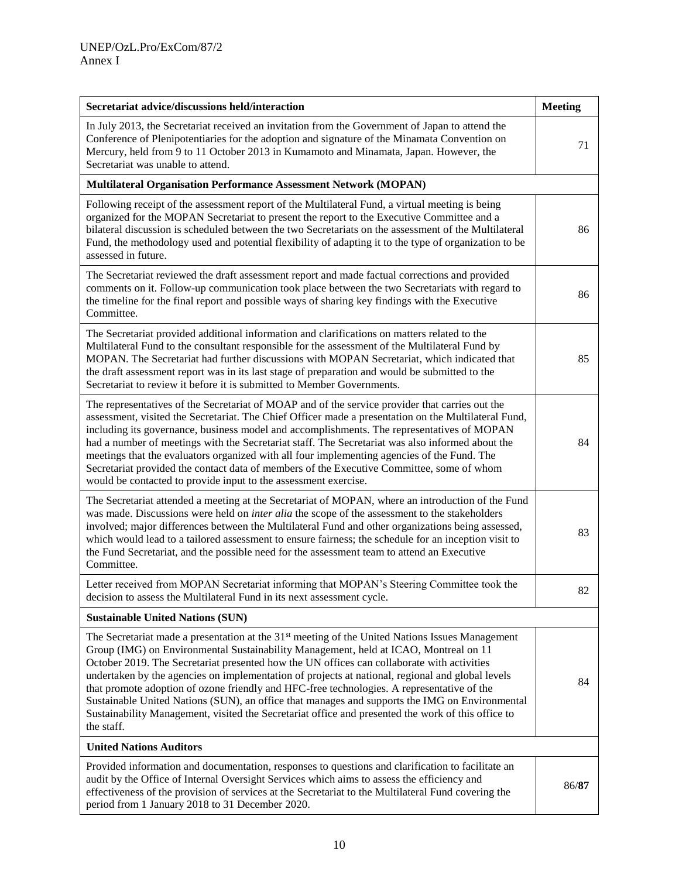| Secretariat advice/discussions held/interaction                                                                                                                                                                                                                                                                                                                                                                                                                                                                                                                                                                                                                                                                 | <b>Meeting</b> |
|-----------------------------------------------------------------------------------------------------------------------------------------------------------------------------------------------------------------------------------------------------------------------------------------------------------------------------------------------------------------------------------------------------------------------------------------------------------------------------------------------------------------------------------------------------------------------------------------------------------------------------------------------------------------------------------------------------------------|----------------|
| In July 2013, the Secretariat received an invitation from the Government of Japan to attend the<br>Conference of Plenipotentiaries for the adoption and signature of the Minamata Convention on<br>Mercury, held from 9 to 11 October 2013 in Kumamoto and Minamata, Japan. However, the<br>Secretariat was unable to attend.                                                                                                                                                                                                                                                                                                                                                                                   | 71             |
| <b>Multilateral Organisation Performance Assessment Network (MOPAN)</b>                                                                                                                                                                                                                                                                                                                                                                                                                                                                                                                                                                                                                                         |                |
| Following receipt of the assessment report of the Multilateral Fund, a virtual meeting is being<br>organized for the MOPAN Secretariat to present the report to the Executive Committee and a<br>bilateral discussion is scheduled between the two Secretariats on the assessment of the Multilateral<br>Fund, the methodology used and potential flexibility of adapting it to the type of organization to be<br>assessed in future.                                                                                                                                                                                                                                                                           | 86             |
| The Secretariat reviewed the draft assessment report and made factual corrections and provided<br>comments on it. Follow-up communication took place between the two Secretariats with regard to<br>the timeline for the final report and possible ways of sharing key findings with the Executive<br>Committee.                                                                                                                                                                                                                                                                                                                                                                                                | 86             |
| The Secretariat provided additional information and clarifications on matters related to the<br>Multilateral Fund to the consultant responsible for the assessment of the Multilateral Fund by<br>MOPAN. The Secretariat had further discussions with MOPAN Secretariat, which indicated that<br>the draft assessment report was in its last stage of preparation and would be submitted to the<br>Secretariat to review it before it is submitted to Member Governments.                                                                                                                                                                                                                                       | 85             |
| The representatives of the Secretariat of MOAP and of the service provider that carries out the<br>assessment, visited the Secretariat. The Chief Officer made a presentation on the Multilateral Fund,<br>including its governance, business model and accomplishments. The representatives of MOPAN<br>had a number of meetings with the Secretariat staff. The Secretariat was also informed about the<br>meetings that the evaluators organized with all four implementing agencies of the Fund. The<br>Secretariat provided the contact data of members of the Executive Committee, some of whom<br>would be contacted to provide input to the assessment exercise.                                        | 84             |
| The Secretariat attended a meeting at the Secretariat of MOPAN, where an introduction of the Fund<br>was made. Discussions were held on <i>inter alia</i> the scope of the assessment to the stakeholders<br>involved; major differences between the Multilateral Fund and other organizations being assessed,<br>which would lead to a tailored assessment to ensure fairness; the schedule for an inception visit to<br>the Fund Secretariat, and the possible need for the assessment team to attend an Executive<br>Committee.                                                                                                                                                                              | 83             |
| Letter received from MOPAN Secretariat informing that MOPAN's Steering Committee took the<br>decision to assess the Multilateral Fund in its next assessment cycle.                                                                                                                                                                                                                                                                                                                                                                                                                                                                                                                                             | 82             |
| <b>Sustainable United Nations (SUN)</b>                                                                                                                                                                                                                                                                                                                                                                                                                                                                                                                                                                                                                                                                         |                |
| The Secretariat made a presentation at the $31st$ meeting of the United Nations Issues Management<br>Group (IMG) on Environmental Sustainability Management, held at ICAO, Montreal on 11<br>October 2019. The Secretariat presented how the UN offices can collaborate with activities<br>undertaken by the agencies on implementation of projects at national, regional and global levels<br>that promote adoption of ozone friendly and HFC-free technologies. A representative of the<br>Sustainable United Nations (SUN), an office that manages and supports the IMG on Environmental<br>Sustainability Management, visited the Secretariat office and presented the work of this office to<br>the staff. | 84             |
| <b>United Nations Auditors</b>                                                                                                                                                                                                                                                                                                                                                                                                                                                                                                                                                                                                                                                                                  |                |
| Provided information and documentation, responses to questions and clarification to facilitate an<br>audit by the Office of Internal Oversight Services which aims to assess the efficiency and<br>effectiveness of the provision of services at the Secretariat to the Multilateral Fund covering the<br>period from 1 January 2018 to 31 December 2020.                                                                                                                                                                                                                                                                                                                                                       | 86/87          |